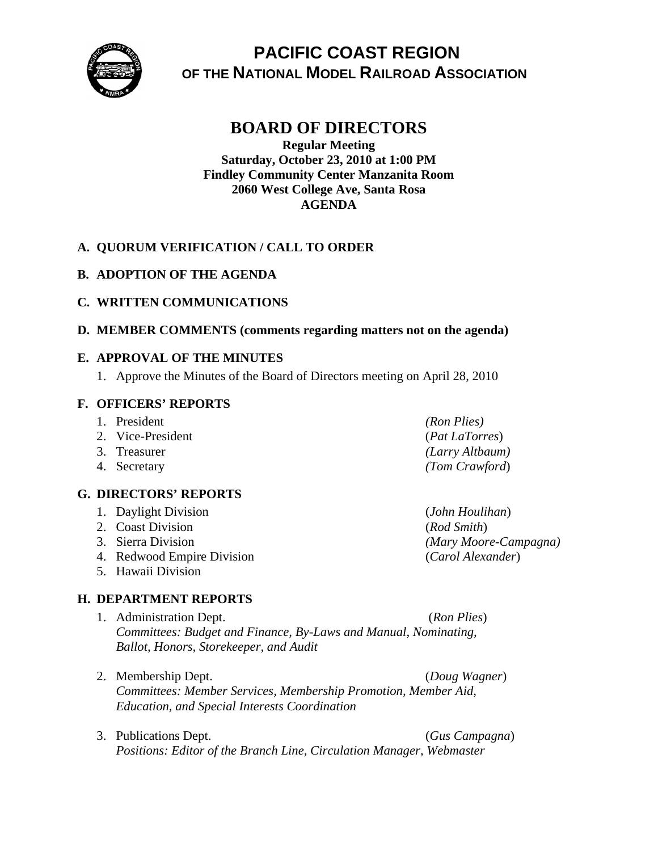

# **PACIFIC COAST REGION OF THE NATIONAL MODEL RAILROAD ASSOCIATION**

## **BOARD OF DIRECTORS**

**Regular Meeting Saturday, October 23, 2010 at 1:00 PM Findley Community Center Manzanita Room 2060 West College Ave, Santa Rosa AGENDA** 

### **A. QUORUM VERIFICATION / CALL TO ORDER**

**B. ADOPTION OF THE AGENDA** 

### **C. WRITTEN COMMUNICATIONS**

**D. MEMBER COMMENTS (comments regarding matters not on the agenda)** 

### **E. APPROVAL OF THE MINUTES**

1. Approve the Minutes of the Board of Directors meeting on April 28, 2010

### **F. OFFICERS' REPORTS**

- 1. President *(Ron Plies)*
- 2. Vice-President (*Pat LaTorres*)
- 
- 

### **G. DIRECTORS' REPORTS**

- 1. Daylight Division (*John Houlihan*)
- 2. Coast Division (*Rod Smith*)
- 
- 4. Redwood Empire Division (*Carol Alexander*)
- 5. Hawaii Division

### **H. DEPARTMENT REPORTS**

- 1. Administration Dept. (*Ron Plies*) *Committees: Budget and Finance, By-Laws and Manual, Nominating, Ballot, Honors, Storekeeper, and Audit*
- 2. Membership Dept. (*Doug Wagner*) *Committees: Member Services, Membership Promotion, Member Aid, Education, and Special Interests Coordination*
- 

3. Publications Dept. (*Gus Campagna*)

*Positions: Editor of the Branch Line, Circulation Manager, Webmaster* 

- 3. Treasurer *(Larry Altbaum)* 4. Secretary *(Tom Crawford*)
- 3. Sierra Division *(Mary Moore-Campagna)*